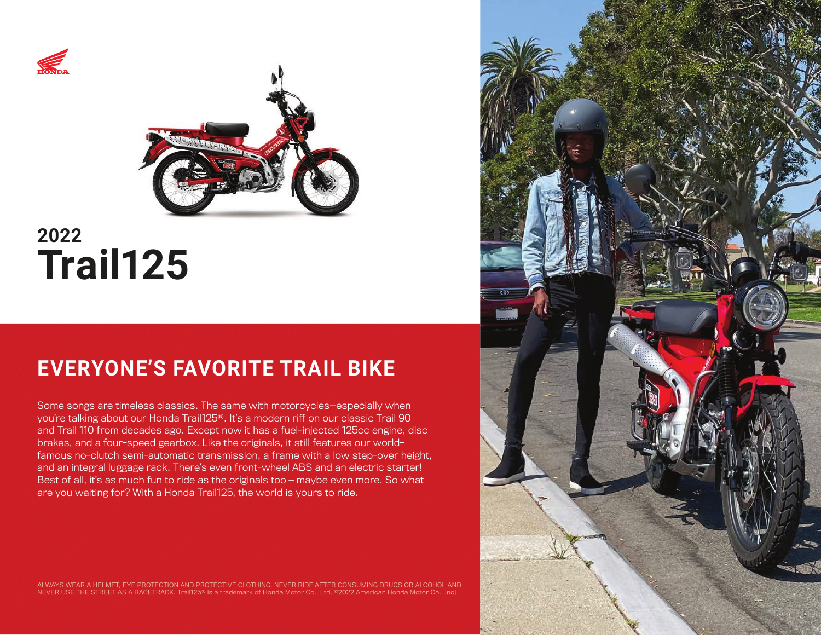



# **2022 Trail125**

# **EVERYONE'S FAVORITE TRAIL BIKE**

Some songs are timeless classics. The same with motorcycles—especially when you're talking about our Honda Trail125®. It's a modern riff on our classic Trail 90 and Trail 110 from decades ago. Except now it has a fuel-injected 125cc engine, disc brakes, and a four-speed gearbox. Like the originals, it still features our worldfamous no-clutch semi-automatic transmission, a frame with a low step-over height, and an integral luggage rack. There's even front-wheel ABS and an electric starter! Best of all, it's as much fun to ride as the originals too — maybe even more. So what are you waiting for? With a Honda Trail125, the world is yours to ride.

ALWAYS WEAR A HELMET, EYE PROTECTION AND PROTECTIVE CLOTHING. NEVER RIDE AFTER CONSUMING DRUGS OR ALCOHOL AND<br>NEVER USE THE STREET AS A RACETRACK. Trail125® is a trademark of Honda Motor Co., Ltd. ®2022 American Honda Mot